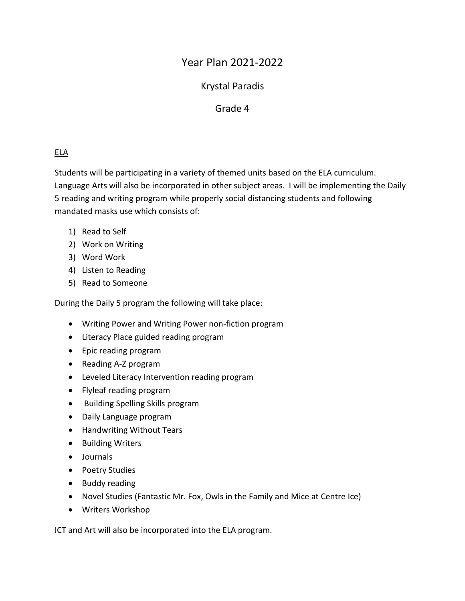# Year Plan 2021-2022

## Krystal Paradis

## Grade 4

## ELA

Students will be participating in a variety of themed units based on the ELA curriculum. Language Arts will also be incorporated in other subject areas. I will be implementing the Daily 5 reading and writing program while properly social distancing students and following mandated masks use which consists of:

- 1) Read to Self
- 2) Work on Writing
- 3) Word Work
- 4) Listen to Reading
- 5) Read to Someone

During the Daily 5 program the following will take place:

- Writing Power and Writing Power non-fiction program
- Literacy Place guided reading program
- Epic reading program
- Reading A-Z program
- Leveled Literacy Intervention reading program
- Flyleaf reading program
- **•** Building Spelling Skills program
- Daily Language program
- Handwriting Without Tears
- Building Writers
- Journals
- Poetry Studies
- Buddy reading
- Novel Studies (Fantastic Mr. Fox, Owls in the Family and Mice at Centre Ice)
- Writers Workshop

ICT and Art will also be incorporated into the ELA program.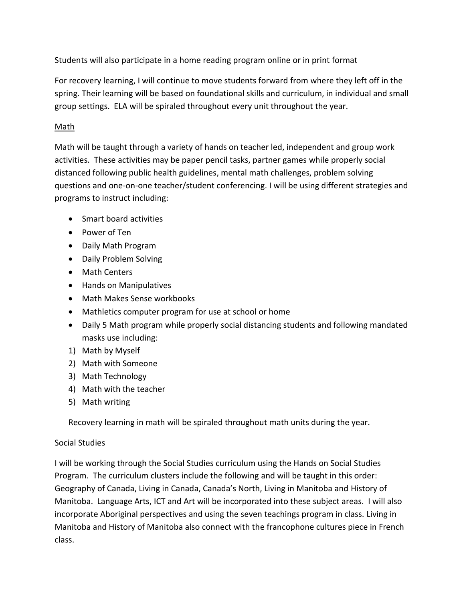Students will also participate in a home reading program online or in print format

For recovery learning, I will continue to move students forward from where they left off in the spring. Their learning will be based on foundational skills and curriculum, in individual and small group settings. ELA will be spiraled throughout every unit throughout the year.

#### Math

Math will be taught through a variety of hands on teacher led, independent and group work activities. These activities may be paper pencil tasks, partner games while properly social distanced following public health guidelines, mental math challenges, problem solving questions and one-on-one teacher/student conferencing. I will be using different strategies and programs to instruct including:

- Smart board activities
- Power of Ten
- Daily Math Program
- Daily Problem Solving
- Math Centers
- Hands on Manipulatives
- Math Makes Sense workbooks
- Mathletics computer program for use at school or home
- Daily 5 Math program while properly social distancing students and following mandated masks use including:
- 1) Math by Myself
- 2) Math with Someone
- 3) Math Technology
- 4) Math with the teacher
- 5) Math writing

Recovery learning in math will be spiraled throughout math units during the year.

#### Social Studies

I will be working through the Social Studies curriculum using the Hands on Social Studies Program. The curriculum clusters include the following and will be taught in this order: Geography of Canada, Living in Canada, Canada's North, Living in Manitoba and History of Manitoba. Language Arts, ICT and Art will be incorporated into these subject areas. I will also incorporate Aboriginal perspectives and using the seven teachings program in class. Living in Manitoba and History of Manitoba also connect with the francophone cultures piece in French class.